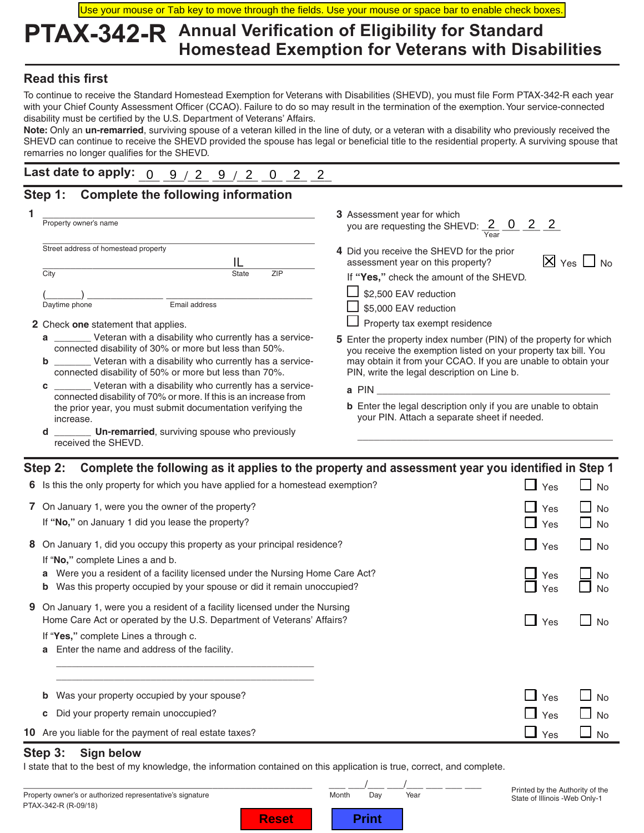Use your mouse or Tab key to move through the fields. Use your mouse or space bar to enable check boxes.

## **PTAX-342-R Annual Verification of Eligibility for Standard Homestead Exemption for Veterans with Disabilities**

## **Read this first**

To continue to receive the Standard Homestead Exemption for Veterans with Disabilities (SHEVD), you must file Form PTAX-342-R each year with your Chief County Assessment Officer (CCAO). Failure to do so may result in the termination of the exemption. Your service-connected disability must be certified by the U.S. Department of Veterans' Affairs.

**Note:** Only an **un-remarried**, surviving spouse of a veteran killed in the line of duty, or a veteran with a disability who previously received the SHEVD can continue to receive the SHEVD provided the spouse has legal or beneficial title to the residential property. A surviving spouse that remarries no longer qualifies for the SHEVD.

#### **Last date to apply:**  $\begin{array}{cccc} 0 & 9 & / & 2 & 9 & / & 2 & 0 & 2 & 2 \end{array}$ 0 9 / 2 9 / 2 0 2 2

## **Step 1: Complete the following information**

|                                                                                                           | Property owner's name                                                                                                                                                                                                                                                                                                                                                                                                                                                                                                                                                                                                                                                                                                 | 3 Assessment year for which<br>$2\quad 2$<br>you are requesting the SHEVD: $2 0$                                                                                                                                                                                                                                                                                                                                                                                                                                                                                                                                                                                                                                                                                                                                                                                             |  |  |
|-----------------------------------------------------------------------------------------------------------|-----------------------------------------------------------------------------------------------------------------------------------------------------------------------------------------------------------------------------------------------------------------------------------------------------------------------------------------------------------------------------------------------------------------------------------------------------------------------------------------------------------------------------------------------------------------------------------------------------------------------------------------------------------------------------------------------------------------------|------------------------------------------------------------------------------------------------------------------------------------------------------------------------------------------------------------------------------------------------------------------------------------------------------------------------------------------------------------------------------------------------------------------------------------------------------------------------------------------------------------------------------------------------------------------------------------------------------------------------------------------------------------------------------------------------------------------------------------------------------------------------------------------------------------------------------------------------------------------------------|--|--|
|                                                                                                           | Street address of homestead property<br>IL<br>ZIP<br>City<br>State<br>Email address<br>Daytime phone<br>2 Check one statement that applies.<br>_________ Veteran with a disability who currently has a service-<br>a<br>connected disability of 30% or more but less than 50%.<br>_______ Veteran with a disability who currently has a service-<br>b<br>connected disability of 50% or more but less than 70%.<br>_ Veteran with a disability who currently has a service-<br>c<br>connected disability of 70% or more. If this is an increase from<br>the prior year, you must submit documentation verifying the<br>increase.<br><b>Un-remarried</b> , surviving spouse who previously<br>d<br>received the SHEVD. | 4 Did you receive the SHEVD for the prior<br>$ \overline{X} $ Yes  <br>N <sub>0</sub><br>assessment year on this property?<br>If "Yes," check the amount of the SHEVD.<br>\$2,500 EAV reduction<br>\$5,000 EAV reduction<br>Property tax exempt residence<br>5 Enter the property index number (PIN) of the property for which<br>you receive the exemption listed on your property tax bill. You<br>may obtain it from your CCAO. If you are unable to obtain your<br>PIN, write the legal description on Line b.<br>a PIN and the state of the state of the state of the state of the state of the state of the state of the state of the state of the state of the state of the state of the state of the state of the state of the state of the<br><b>b</b> Enter the legal description only if you are unable to obtain<br>your PIN. Attach a separate sheet if needed. |  |  |
| Step 2: Complete the following as it applies to the property and assessment year you identified in Step 1 |                                                                                                                                                                                                                                                                                                                                                                                                                                                                                                                                                                                                                                                                                                                       |                                                                                                                                                                                                                                                                                                                                                                                                                                                                                                                                                                                                                                                                                                                                                                                                                                                                              |  |  |
|                                                                                                           | 6 Is this the only property for which you have applied for a homestead exemption?                                                                                                                                                                                                                                                                                                                                                                                                                                                                                                                                                                                                                                     | $\Box$ No<br>Yes                                                                                                                                                                                                                                                                                                                                                                                                                                                                                                                                                                                                                                                                                                                                                                                                                                                             |  |  |
|                                                                                                           | 7 On January 1, were you the owner of the property?<br>If "No," on January 1 did you lease the property?                                                                                                                                                                                                                                                                                                                                                                                                                                                                                                                                                                                                              | $\Box$ No<br>Yes<br>$\Box$ No<br>Yes                                                                                                                                                                                                                                                                                                                                                                                                                                                                                                                                                                                                                                                                                                                                                                                                                                         |  |  |
|                                                                                                           | 8 On January 1, did you occupy this property as your principal residence?<br>If "No," complete Lines a and b.                                                                                                                                                                                                                                                                                                                                                                                                                                                                                                                                                                                                         | $\Box$ No<br>Yes                                                                                                                                                                                                                                                                                                                                                                                                                                                                                                                                                                                                                                                                                                                                                                                                                                                             |  |  |
|                                                                                                           | Were you a resident of a facility licensed under the Nursing Home Care Act?<br><b>b</b> Was this property occupied by your spouse or did it remain unoccupied?                                                                                                                                                                                                                                                                                                                                                                                                                                                                                                                                                        | Yes<br><b>No</b><br>Yes<br>No                                                                                                                                                                                                                                                                                                                                                                                                                                                                                                                                                                                                                                                                                                                                                                                                                                                |  |  |

**9** On January 1, were you a resident of a facility licensed under the Nursing Home Care Act or operated by the U.S. Department of Veterans' Affairs?  $\Box$  Yes  $\Box$  Yes  $\Box$  No

\_\_\_\_\_\_\_\_\_\_\_\_\_\_\_\_\_\_\_\_\_\_\_\_\_\_\_\_\_\_\_\_\_\_\_\_\_\_\_\_\_\_\_\_\_\_\_\_\_

- If "**Yes,"** complete Lines a through c.
- **a** Enter the name and address of the facility.

|  | <b>b</b> Was your property occupied by your spouse?     | Yes                         | $\sim$ $\Box$ No |
|--|---------------------------------------------------------|-----------------------------|------------------|
|  | c Did your property remain unoccupied?                  | $\mathsf{T}_{\mathsf{Yes}}$ | $\Box$ No        |
|  | 10 Are you liable for the payment of real estate taxes? | Yes                         | $\Box$ No        |

### **Step 3: Sign below**

I state that to the best of my knowledge, the information contained on this application is true, correct, and complete.

PTAX-342-R (R-09/18) \_\_\_\_\_\_\_\_\_\_\_\_\_\_\_\_\_\_\_\_\_\_\_\_\_\_\_\_\_\_\_\_\_\_\_\_\_\_\_\_\_\_\_\_\_\_\_\_\_\_\_\_ \_\_\_ \_\_\_/\_\_\_ \_\_\_/\_\_\_ \_\_\_ \_\_\_ \_\_\_ Property owner's or authorized representative's signature Month Day Year Year

Printed by the Authority of the State of Illinois -Web Only-1

**Reset I** Print